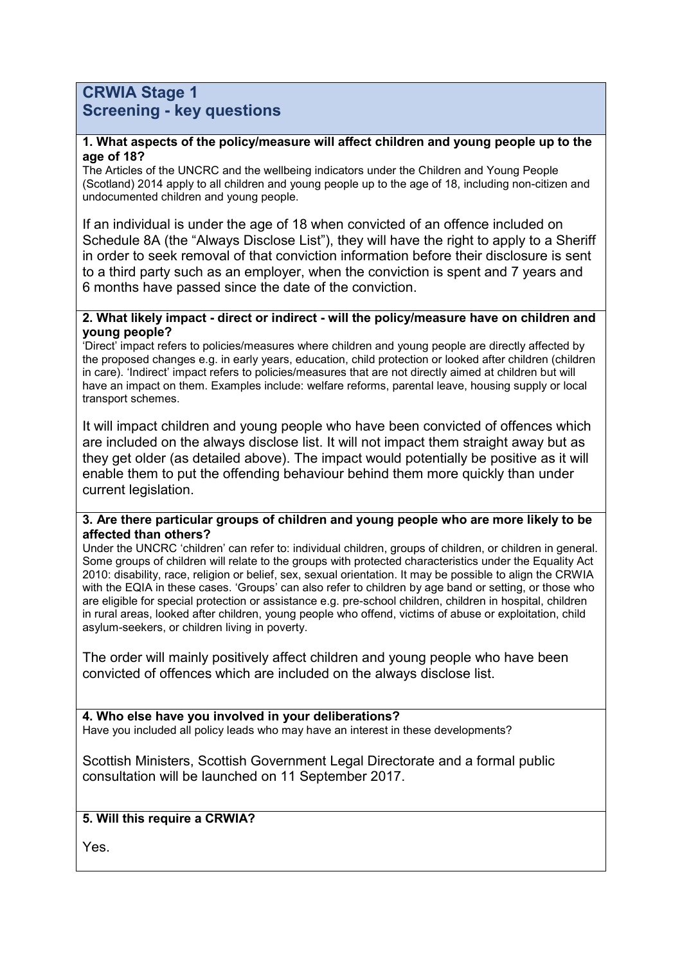## **CRWIA Stage 1 Screening - key questions**

#### **1. What aspects of the policy/measure will affect children and young people up to the age of 18?**

The Articles of the UNCRC and the wellbeing indicators under the Children and Young People (Scotland) 2014 apply to all children and young people up to the age of 18, including non-citizen and undocumented children and young people.

If an individual is under the age of 18 when convicted of an offence included on Schedule 8A (the "Always Disclose List"), they will have the right to apply to a Sheriff in order to seek removal of that conviction information before their disclosure is sent to a third party such as an employer, when the conviction is spent and 7 years and 6 months have passed since the date of the conviction.

#### **2. What likely impact - direct or indirect - will the policy/measure have on children and young people?**

'Direct' impact refers to policies/measures where children and young people are directly affected by the proposed changes e.g. in early years, education, child protection or looked after children (children in care). 'Indirect' impact refers to policies/measures that are not directly aimed at children but will have an impact on them. Examples include: welfare reforms, parental leave, housing supply or local transport schemes.

It will impact children and young people who have been convicted of offences which are included on the always disclose list. It will not impact them straight away but as they get older (as detailed above). The impact would potentially be positive as it will enable them to put the offending behaviour behind them more quickly than under current legislation.

#### **3. Are there particular groups of children and young people who are more likely to be affected than others?**

Under the UNCRC 'children' can refer to: individual children, groups of children, or children in general. Some groups of children will relate to the groups with protected characteristics under the Equality Act 2010: disability, race, religion or belief, sex, sexual orientation. It may be possible to align the CRWIA with the EQIA in these cases. 'Groups' can also refer to children by age band or setting, or those who are eligible for special protection or assistance e.g. pre-school children, children in hospital, children in rural areas, looked after children, young people who offend, victims of abuse or exploitation, child asylum-seekers, or children living in poverty.

The order will mainly positively affect children and young people who have been convicted of offences which are included on the always disclose list.

**4. Who else have you involved in your deliberations?** Have you included all policy leads who may have an interest in these developments?

Scottish Ministers, Scottish Government Legal Directorate and a formal public consultation will be launched on 11 September 2017.

### **5. Will this require a CRWIA?**

Yes.